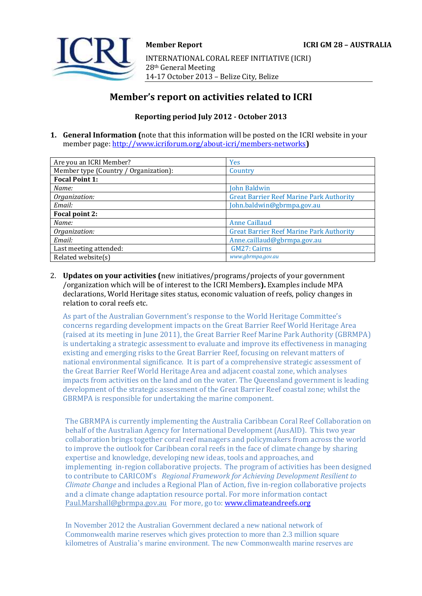

INTERNATIONAL CORAL REEF INITIATIVE (ICRI) 28th General Meeting 14-17 October 2013 – Belize City, Belize

# **Member's report on activities related to ICRI**

## **Reporting period July 2012 - October 2013**

**1. General Information (**note that this information will be posted on the ICRI website in your member page[: http://www.icriforum.org/about-icri/members-networks](http://www.icriforum.org/about-icri/members-networks)**)** 

| Are you an ICRI Member?               | Yes                                             |
|---------------------------------------|-------------------------------------------------|
| Member type (Country / Organization): | Country                                         |
| <b>Focal Point 1:</b>                 |                                                 |
| Name:                                 | John Baldwin                                    |
| Organization:                         | <b>Great Barrier Reef Marine Park Authority</b> |
| Email:                                | John.baldwin@gbrmpa.gov.au                      |
| Focal point 2:                        |                                                 |
| Name:                                 | <b>Anne Caillaud</b>                            |
| Organization:                         | <b>Great Barrier Reef Marine Park Authority</b> |
| Email:                                | Anne.caillaud@gbrmpa.gov.au                     |
| Last meeting attended:                | <b>GM27: Cairns</b>                             |
| Related website(s)                    | www.gbrmpa.gov.au                               |

2. **Updates on your activities (**new initiatives/programs/projects of your government /organization which will be of interest to the ICRI Members**).** Examples include MPA declarations, World Heritage sites status, economic valuation of reefs, policy changes in relation to coral reefs etc.

As part of the Australian Government's response to the World Heritage Committee's concerns regarding development impacts on the Great Barrier Reef World Heritage Area (raised at its meeting in June 2011), the Great Barrier Reef Marine Park Authority (GBRMPA) is undertaking a strategic assessment to evaluate and improve its effectiveness in managing existing and emerging risks to the Great Barrier Reef, focusing on relevant matters of national environmental significance. It is part of a comprehensive strategic assessment of the Great Barrier Reef World Heritage Area and adjacent coastal zone, which analyses impacts from activities on the land and on the water. The Queensland government is leading development of the strategic assessment of the Great Barrier Reef coastal zone; whilst the GBRMPA is responsible for undertaking the marine component.

The GBRMPA is currently implementing the Australia Caribbean Coral Reef Collaboration on behalf of the Australian Agency for International Development (AusAID). This two year collaboration brings together coral reef managers and policymakers from across the world to improve the outlook for Caribbean coral reefs in the face of climate change by sharing expertise and knowledge, developing new ideas, tools and approaches, and implementing in-region collaborative projects. The program of activities has been designed to contribute to CARICOM's *Regional Framework for Achieving Development Resilient to Climate Change* and includes a Regional Plan of Action, five in-region collaborative projects and a climate change adaptation resource portal. For more information contact [Paul.Marshall@gbrmpa.gov.au](mailto:Paul.Marshall@gbrmpa.gov.au) For more, go to: [www.climateandreefs.org](http://www.climateandreefs.org/)

In November 2012 the Australian Government declared a new national network of Commonwealth marine reserves which gives protection to more than 2.3 million square kilometres of Australia's marine environment. The new Commonwealth marine reserves are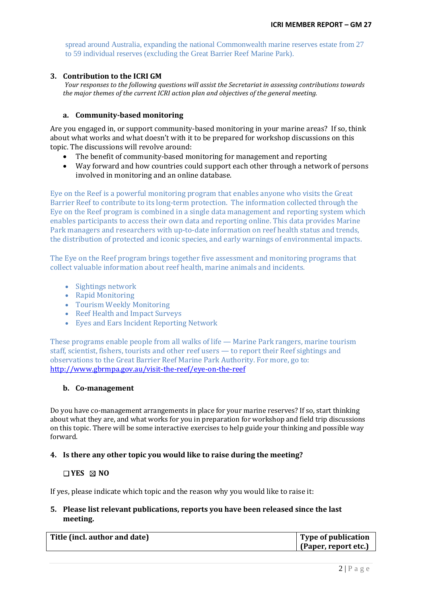spread around Australia, expanding the national Commonwealth marine reserves estate from 27 to 59 individual reserves (excluding the Great Barrier Reef Marine Park).

#### **3. Contribution to the ICRI GM**

*Your responses to the following questions will assist the Secretariat in assessing contributions towards the major themes of the current ICRI action plan and objectives of the general meeting.*

#### **a. Community-based monitoring**

Are you engaged in, or support community-based monitoring in your marine areas? If so, think about what works and what doesn't with it to be prepared for workshop discussions on this topic. The discussions will revolve around:

- The benefit of community-based monitoring for management and reporting
- Way forward and how countries could support each other through a network of persons involved in monitoring and an online database.

Eye on the Reef is a powerful monitoring program that enables anyone who visits the Great Barrier Reef to contribute to its long-term protection. The information collected through the Eye on the Reef program is combined in a single [data management and reporting system](http://www.gbrmpa.gov.au/eye-on-the-reef) which enables participants to access their own data and reporting online. This data provides Marine Park managers and researchers with up-to-date information on reef health status and trends, the distribution of protected and iconic species, and early warnings of environmental impacts.

The Eye on the Reef program brings together five assessment and monitoring programs that collect valuable information about reef health, marine animals and incidents.

- [Sightings network](http://www.gbrmpa.gov.au/visit-the-reef/eye-on-the-reef/sightings-network)
- [Rapid Monitoring](http://www.gbrmpa.gov.au/visit-the-reef/eye-on-the-reef/the-rapid-monitoring-survey)
- [Tourism Weekly Monitoring](http://www.gbrmpa.gov.au/visit-the-reef/eye-on-the-reef/tourism-weekly-monitoring-surveys)
- [Reef Health and Impact Surveys](http://www.gbrmpa.gov.au/visit-the-reef/eye-on-the-reef/reef-health-and-impact-survey)
- [Eyes and Ears Incident Reporting Network](http://www.gbrmpa.gov.au/our-partners/tourism-industry/eyes-and-earsreporting)

These programs enable people from all walks of life — Marine Park rangers, marine tourism staff, scientist, fishers, tourists and other reef users — to report their Reef sightings and observations to the Great Barrier Reef Marine Park Authority. For more, go to: <http://www.gbrmpa.gov.au/visit-the-reef/eye-on-the-reef>

#### **b. Co-management**

Do you have co-management arrangements in place for your marine reserves? If so, start thinking about what they are, and what works for you in preparation for workshop and field trip discussions on this topic. There will be some interactive exercises to help guide your thinking and possible way forward.

#### **4. Is there any other topic you would like to raise during the meeting?**

#### **YES NO**

If yes, please indicate which topic and the reason why you would like to raise it:

### **5. Please list relevant publications, reports you have been released since the last meeting.**

| Title (incl. author and date) | Type of publication    |
|-------------------------------|------------------------|
|                               | [ (Paper, report etc.) |